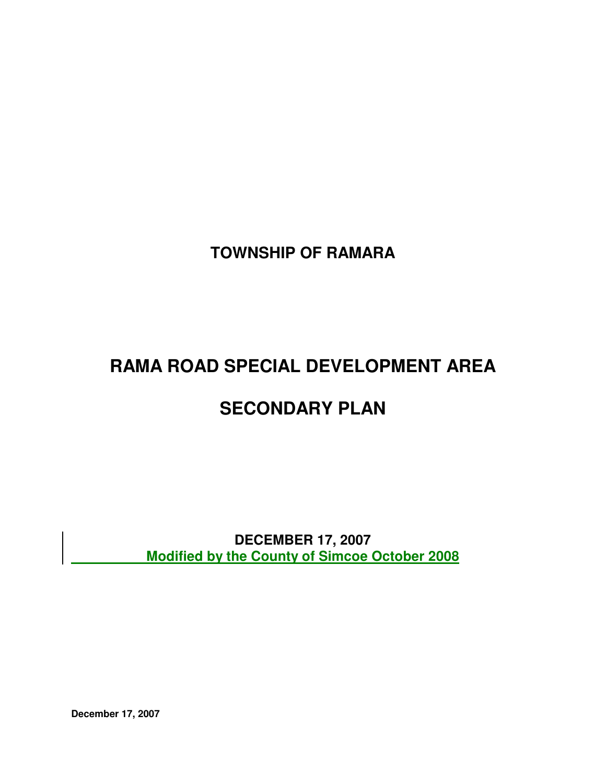**TOWNSHIP OF RAMARA** 

# **RAMA ROAD SPECIAL DEVELOPMENT AREA**

## **SECONDARY PLAN**

 **DECEMBER 17, 2007 Modified by the County of Simcoe October 2008**

**December 17, 2007**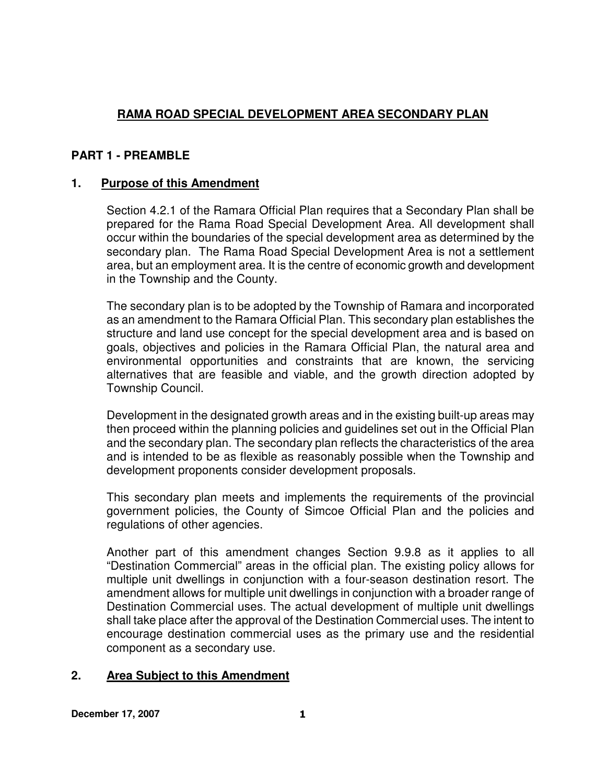## **RAMA ROAD SPECIAL DEVELOPMENT AREA SECONDARY PLAN**

## **PART 1 - PREAMBLE**

## **1. Purpose of this Amendment**

Section 4.2.1 of the Ramara Official Plan requires that a Secondary Plan shall be prepared for the Rama Road Special Development Area. All development shall occur within the boundaries of the special development area as determined by the secondary plan. The Rama Road Special Development Area is not a settlement area, but an employment area. It is the centre of economic growth and development in the Township and the County.

The secondary plan is to be adopted by the Township of Ramara and incorporated as an amendment to the Ramara Official Plan. This secondary plan establishes the structure and land use concept for the special development area and is based on goals, objectives and policies in the Ramara Official Plan, the natural area and environmental opportunities and constraints that are known, the servicing alternatives that are feasible and viable, and the growth direction adopted by Township Council.

Development in the designated growth areas and in the existing built-up areas may then proceed within the planning policies and guidelines set out in the Official Plan and the secondary plan. The secondary plan reflects the characteristics of the area and is intended to be as flexible as reasonably possible when the Township and development proponents consider development proposals.

This secondary plan meets and implements the requirements of the provincial government policies, the County of Simcoe Official Plan and the policies and regulations of other agencies.

Another part of this amendment changes Section 9.9.8 as it applies to all "Destination Commercial" areas in the official plan. The existing policy allows for multiple unit dwellings in conjunction with a four-season destination resort. The amendment allows for multiple unit dwellings in conjunction with a broader range of Destination Commercial uses. The actual development of multiple unit dwellings shall take place after the approval of the Destination Commercial uses. The intent to encourage destination commercial uses as the primary use and the residential component as a secondary use.

## **2. Area Subject to this Amendment**

**December 17, 2007** 1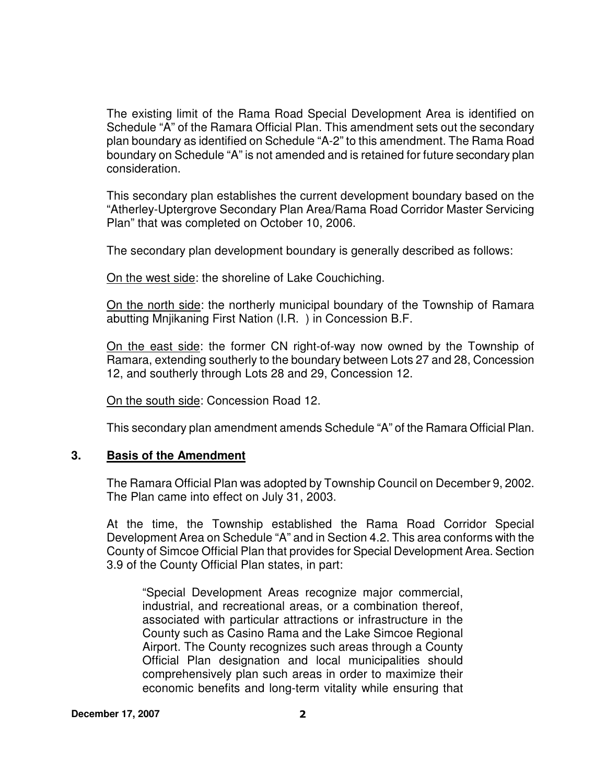The existing limit of the Rama Road Special Development Area is identified on Schedule "A" of the Ramara Official Plan. This amendment sets out the secondary plan boundary as identified on Schedule "A-2" to this amendment. The Rama Road boundary on Schedule "A" is not amended and is retained for future secondary plan consideration.

This secondary plan establishes the current development boundary based on the "Atherley-Uptergrove Secondary Plan Area/Rama Road Corridor Master Servicing Plan" that was completed on October 10, 2006.

The secondary plan development boundary is generally described as follows:

On the west side: the shoreline of Lake Couchiching.

On the north side: the northerly municipal boundary of the Township of Ramara abutting Mnjikaning First Nation (I.R. ) in Concession B.F.

On the east side: the former CN right-of-way now owned by the Township of Ramara, extending southerly to the boundary between Lots 27 and 28, Concession 12, and southerly through Lots 28 and 29, Concession 12.

On the south side: Concession Road 12.

This secondary plan amendment amends Schedule "A" of the Ramara Official Plan.

#### **3. Basis of the Amendment**

The Ramara Official Plan was adopted by Township Council on December 9, 2002. The Plan came into effect on July 31, 2003.

At the time, the Township established the Rama Road Corridor Special Development Area on Schedule "A" and in Section 4.2. This area conforms with the County of Simcoe Official Plan that provides for Special Development Area. Section 3.9 of the County Official Plan states, in part:

"Special Development Areas recognize major commercial, industrial, and recreational areas, or a combination thereof, associated with particular attractions or infrastructure in the County such as Casino Rama and the Lake Simcoe Regional Airport. The County recognizes such areas through a County Official Plan designation and local municipalities should comprehensively plan such areas in order to maximize their economic benefits and long-term vitality while ensuring that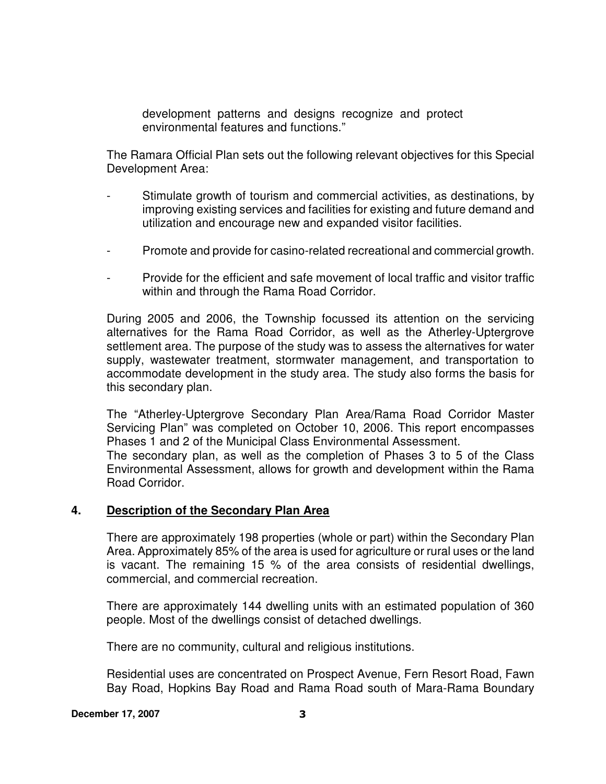development patterns and designs recognize and protect environmental features and functions."

The Ramara Official Plan sets out the following relevant objectives for this Special Development Area:

- Stimulate growth of tourism and commercial activities, as destinations, by improving existing services and facilities for existing and future demand and utilization and encourage new and expanded visitor facilities.
- Promote and provide for casino-related recreational and commercial growth.
- Provide for the efficient and safe movement of local traffic and visitor traffic within and through the Rama Road Corridor.

During 2005 and 2006, the Township focussed its attention on the servicing alternatives for the Rama Road Corridor, as well as the Atherley-Uptergrove settlement area. The purpose of the study was to assess the alternatives for water supply, wastewater treatment, stormwater management, and transportation to accommodate development in the study area. The study also forms the basis for this secondary plan.

The "Atherley-Uptergrove Secondary Plan Area/Rama Road Corridor Master Servicing Plan" was completed on October 10, 2006. This report encompasses Phases 1 and 2 of the Municipal Class Environmental Assessment. The secondary plan, as well as the completion of Phases 3 to 5 of the Class Environmental Assessment, allows for growth and development within the Rama Road Corridor.

#### **4. Description of the Secondary Plan Area**

There are approximately 198 properties (whole or part) within the Secondary Plan Area. Approximately 85% of the area is used for agriculture or rural uses or the land is vacant. The remaining 15 % of the area consists of residential dwellings, commercial, and commercial recreation.

There are approximately 144 dwelling units with an estimated population of 360 people. Most of the dwellings consist of detached dwellings.

There are no community, cultural and religious institutions.

Residential uses are concentrated on Prospect Avenue, Fern Resort Road, Fawn Bay Road, Hopkins Bay Road and Rama Road south of Mara-Rama Boundary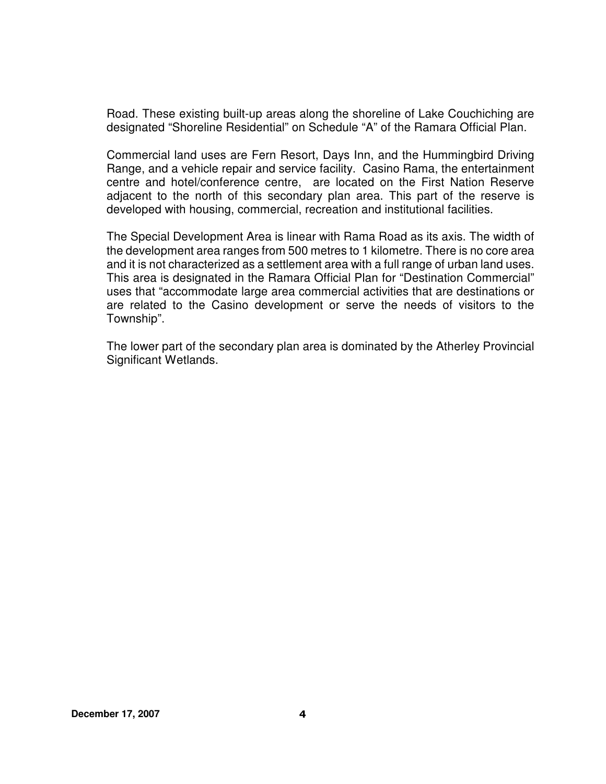Road. These existing built-up areas along the shoreline of Lake Couchiching are designated "Shoreline Residential" on Schedule "A" of the Ramara Official Plan.

Commercial land uses are Fern Resort, Days Inn, and the Hummingbird Driving Range, and a vehicle repair and service facility. Casino Rama, the entertainment centre and hotel/conference centre, are located on the First Nation Reserve adjacent to the north of this secondary plan area. This part of the reserve is developed with housing, commercial, recreation and institutional facilities.

The Special Development Area is linear with Rama Road as its axis. The width of the development area ranges from 500 metres to 1 kilometre. There is no core area and it is not characterized as a settlement area with a full range of urban land uses. This area is designated in the Ramara Official Plan for "Destination Commercial" uses that "accommodate large area commercial activities that are destinations or are related to the Casino development or serve the needs of visitors to the Township".

The lower part of the secondary plan area is dominated by the Atherley Provincial Significant Wetlands.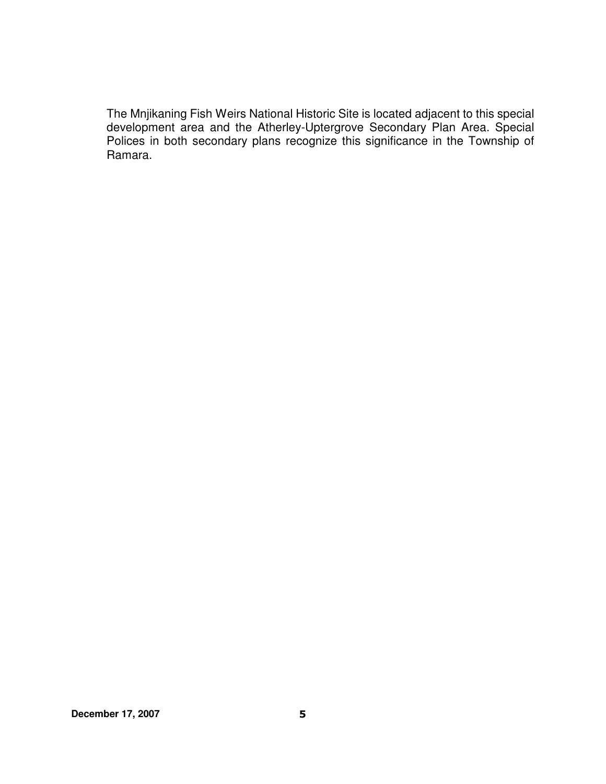The Mnjikaning Fish Weirs National Historic Site is located adjacent to this special development area and the Atherley-Uptergrove Secondary Plan Area. Special Polices in both secondary plans recognize this significance in the Township of Ramara.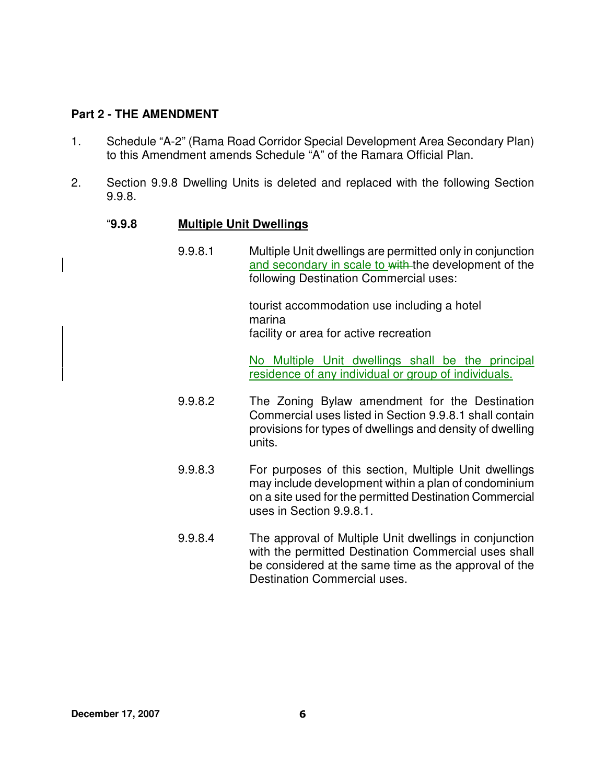## **Part 2 - THE AMENDMENT**

- 1. Schedule "A-2" (Rama Road Corridor Special Development Area Secondary Plan) to this Amendment amends Schedule "A" of the Ramara Official Plan.
- 2. Section 9.9.8 Dwelling Units is deleted and replaced with the following Section 9.9.8.

## "**9.9.8 Multiple Unit Dwellings**

9.9.8.1 Multiple Unit dwellings are permitted only in conjunction and secondary in scale to with the development of the following Destination Commercial uses:

> tourist accommodation use including a hotel marina facility or area for active recreation

No Multiple Unit dwellings shall be the principal residence of any individual or group of individuals.

- 9.9.8.2 The Zoning Bylaw amendment for the Destination Commercial uses listed in Section 9.9.8.1 shall contain provisions for types of dwellings and density of dwelling units.
- 9.9.8.3 For purposes of this section, Multiple Unit dwellings may include development within a plan of condominium on a site used for the permitted Destination Commercial uses in Section 9.9.8.1.
- 9.9.8.4 The approval of Multiple Unit dwellings in conjunction with the permitted Destination Commercial uses shall be considered at the same time as the approval of the Destination Commercial uses.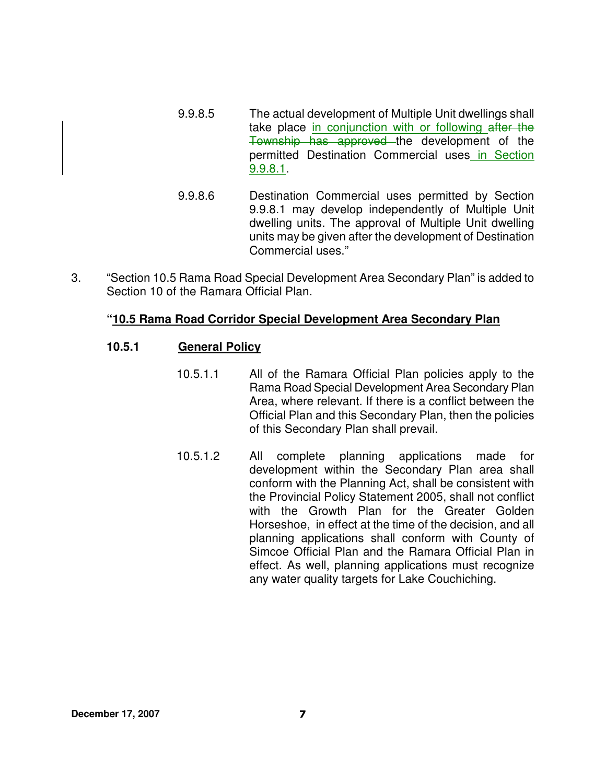- 9.9.8.5 The actual development of Multiple Unit dwellings shall take place in conjunction with or following after the Township has approved the development of the permitted Destination Commercial uses in Section 9.9.8.1.
- 9.9.8.6 Destination Commercial uses permitted by Section 9.9.8.1 may develop independently of Multiple Unit dwelling units. The approval of Multiple Unit dwelling units may be given after the development of Destination Commercial uses."
- 3. "Section 10.5 Rama Road Special Development Area Secondary Plan" is added to Section 10 of the Ramara Official Plan.

## **"10.5 Rama Road Corridor Special Development Area Secondary Plan**

## **10.5.1 General Policy**

- 10.5.1.1 All of the Ramara Official Plan policies apply to the Rama Road Special Development Area Secondary Plan Area, where relevant. If there is a conflict between the Official Plan and this Secondary Plan, then the policies of this Secondary Plan shall prevail.
- 10.5.1.2 All complete planning applications made for development within the Secondary Plan area shall conform with the Planning Act, shall be consistent with the Provincial Policy Statement 2005, shall not conflict with the Growth Plan for the Greater Golden Horseshoe, in effect at the time of the decision, and all planning applications shall conform with County of Simcoe Official Plan and the Ramara Official Plan in effect. As well, planning applications must recognize any water quality targets for Lake Couchiching.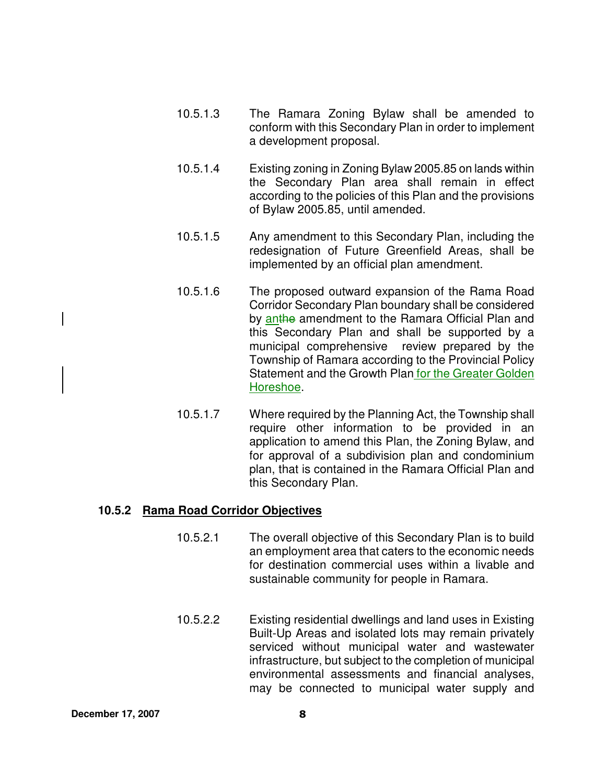- 10.5.1.3 The Ramara Zoning Bylaw shall be amended to conform with this Secondary Plan in order to implement a development proposal.
- 10.5.1.4 Existing zoning in Zoning Bylaw 2005.85 on lands within the Secondary Plan area shall remain in effect according to the policies of this Plan and the provisions of Bylaw 2005.85, until amended.
- 10.5.1.5 Any amendment to this Secondary Plan, including the redesignation of Future Greenfield Areas, shall be implemented by an official plan amendment.
- 10.5.1.6 The proposed outward expansion of the Rama Road Corridor Secondary Plan boundary shall be considered by anthe amendment to the Ramara Official Plan and this Secondary Plan and shall be supported by a municipal comprehensive review prepared by the Township of Ramara according to the Provincial Policy Statement and the Growth Plan for the Greater Golden Horeshoe.
- 10.5.1.7 Where required by the Planning Act, the Township shall require other information to be provided in an application to amend this Plan, the Zoning Bylaw, and for approval of a subdivision plan and condominium plan, that is contained in the Ramara Official Plan and this Secondary Plan.

## **10.5.2 Rama Road Corridor Objectives**

- 10.5.2.1 The overall objective of this Secondary Plan is to build an employment area that caters to the economic needs for destination commercial uses within a livable and sustainable community for people in Ramara.
- 10.5.2.2 Existing residential dwellings and land uses in Existing Built-Up Areas and isolated lots may remain privately serviced without municipal water and wastewater infrastructure, but subject to the completion of municipal environmental assessments and financial analyses, may be connected to municipal water supply and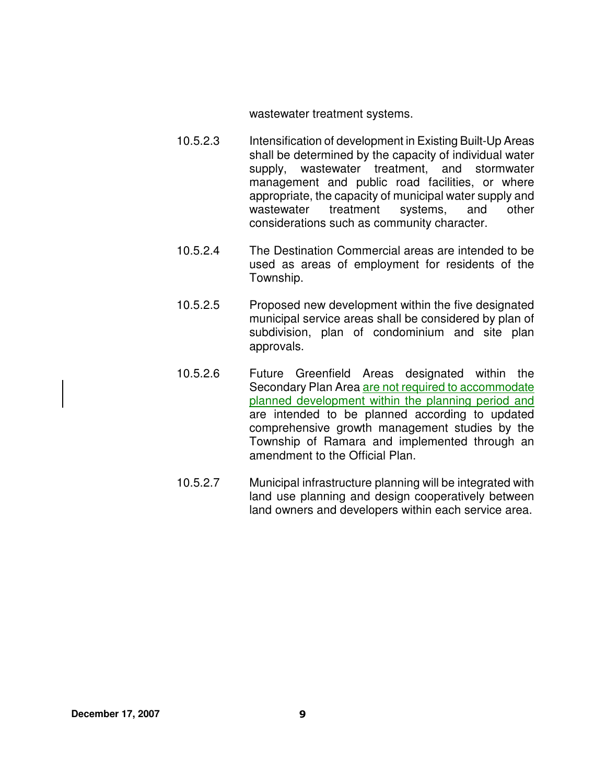wastewater treatment systems.

- 10.5.2.3 Intensification of development in Existing Built-Up Areas shall be determined by the capacity of individual water supply, wastewater treatment, and stormwater management and public road facilities, or where appropriate, the capacity of municipal water supply and wastewater treatment systems, and other considerations such as community character.
- 10.5.2.4 The Destination Commercial areas are intended to be used as areas of employment for residents of the Township.
- 10.5.2.5 Proposed new development within the five designated municipal service areas shall be considered by plan of subdivision, plan of condominium and site plan approvals.
- 10.5.2.6 Future Greenfield Areas designated within the Secondary Plan Area are not required to accommodate planned development within the planning period and are intended to be planned according to updated comprehensive growth management studies by the Township of Ramara and implemented through an amendment to the Official Plan.
- 10.5.2.7 Municipal infrastructure planning will be integrated with land use planning and design cooperatively between land owners and developers within each service area.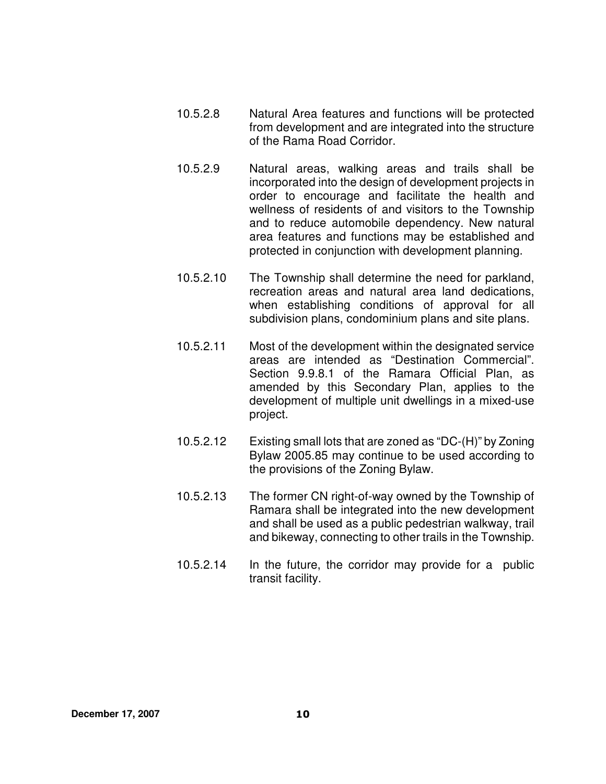- 10.5.2.8 Natural Area features and functions will be protected from development and are integrated into the structure of the Rama Road Corridor.
- 10.5.2.9 Natural areas, walking areas and trails shall be incorporated into the design of development projects in order to encourage and facilitate the health and wellness of residents of and visitors to the Township and to reduce automobile dependency. New natural area features and functions may be established and protected in conjunction with development planning.
- 10.5.2.10 The Township shall determine the need for parkland, recreation areas and natural area land dedications, when establishing conditions of approval for all subdivision plans, condominium plans and site plans.
- 10.5.2.11 Most of the development within the designated service areas are intended as "Destination Commercial". Section 9.9.8.1 of the Ramara Official Plan, as amended by this Secondary Plan, applies to the development of multiple unit dwellings in a mixed-use project.
- 10.5.2.12 Existing small lots that are zoned as "DC-(H)" by Zoning Bylaw 2005.85 may continue to be used according to the provisions of the Zoning Bylaw.
- 10.5.2.13 The former CN right-of-way owned by the Township of Ramara shall be integrated into the new development and shall be used as a public pedestrian walkway, trail and bikeway, connecting to other trails in the Township.
- 10.5.2.14 In the future, the corridor may provide for a public transit facility.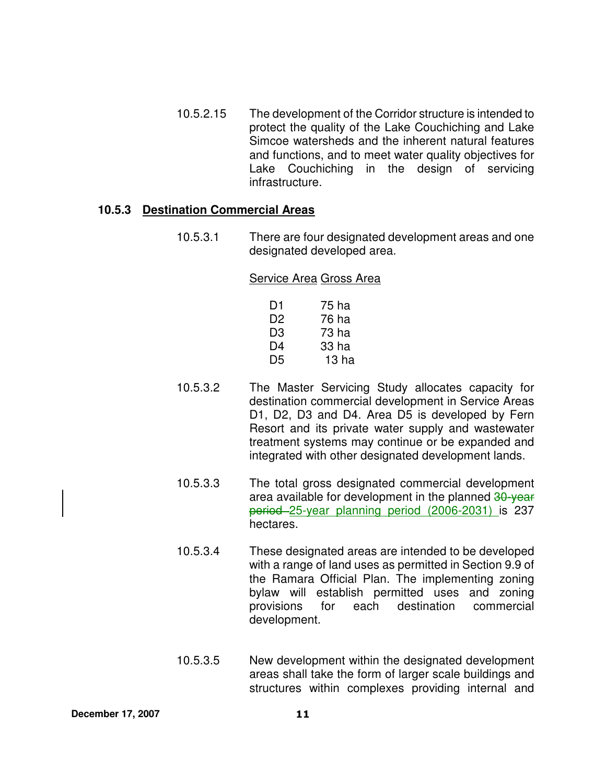10.5.2.15 The development of the Corridor structure is intended to protect the quality of the Lake Couchiching and Lake Simcoe watersheds and the inherent natural features and functions, and to meet water quality objectives for Lake Couchiching in the design of servicing infrastructure.

#### **10.5.3 Destination Commercial Areas**

10.5.3.1 There are four designated development areas and one designated developed area.

#### Service Area Gross Area

| D1             | 75 ha |
|----------------|-------|
| D <sub>2</sub> | 76 ha |
| D3             | 73 ha |
| D4             | 33 ha |
| D <sub>5</sub> | 13 ha |

- 10.5.3.2 The Master Servicing Study allocates capacity for destination commercial development in Service Areas D1, D2, D3 and D4. Area D5 is developed by Fern Resort and its private water supply and wastewater treatment systems may continue or be expanded and integrated with other designated development lands.
- 10.5.3.3 The total gross designated commercial development area available for development in the planned 30-year period 25-year planning period (2006-2031) is 237 hectares.
- 10.5.3.4 These designated areas are intended to be developed with a range of land uses as permitted in Section 9.9 of the Ramara Official Plan. The implementing zoning bylaw will establish permitted uses and zoning provisions for each destination commercial development.
- 10.5.3.5 New development within the designated development areas shall take the form of larger scale buildings and structures within complexes providing internal and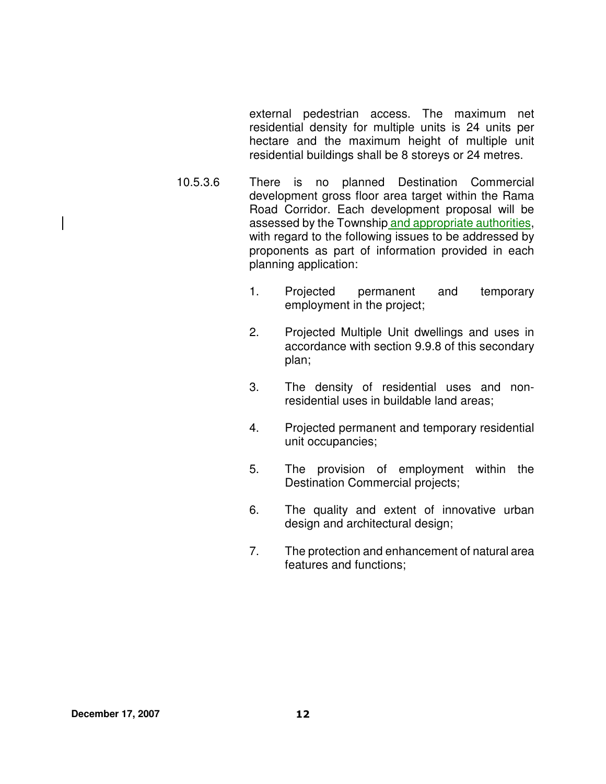external pedestrian access. The maximum net residential density for multiple units is 24 units per hectare and the maximum height of multiple unit residential buildings shall be 8 storeys or 24 metres.

- 10.5.3.6 There is no planned Destination Commercial development gross floor area target within the Rama Road Corridor. Each development proposal will be assessed by the Township and appropriate authorities, with regard to the following issues to be addressed by proponents as part of information provided in each planning application:
	- 1. Projected permanent and temporary employment in the project;
	- 2. Projected Multiple Unit dwellings and uses in accordance with section 9.9.8 of this secondary plan;
	- 3. The density of residential uses and nonresidential uses in buildable land areas;
	- 4. Projected permanent and temporary residential unit occupancies;
	- 5. The provision of employment within the Destination Commercial projects;
	- 6. The quality and extent of innovative urban design and architectural design;
	- 7. The protection and enhancement of natural area features and functions;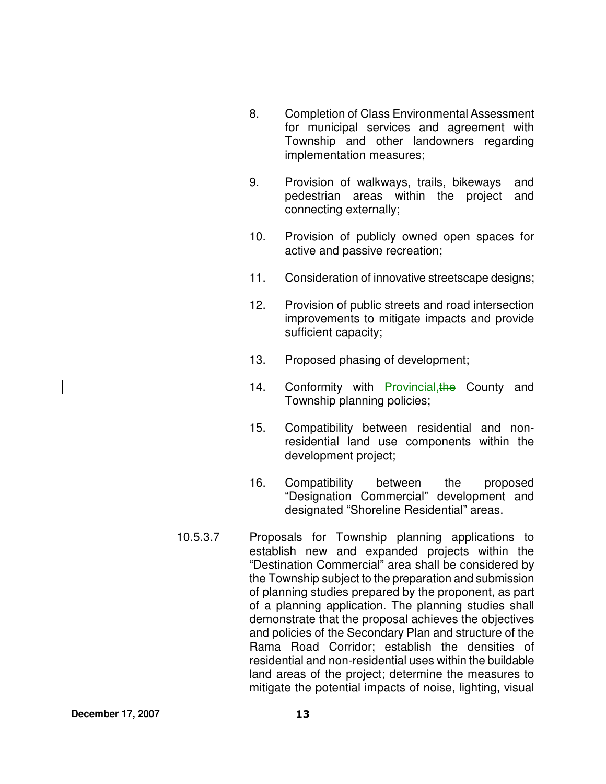- 8. Completion of Class Environmental Assessment for municipal services and agreement with Township and other landowners regarding implementation measures;
- 9. Provision of walkways, trails, bikeways and pedestrian areas within the project and connecting externally;
- 10. Provision of publicly owned open spaces for active and passive recreation;
- 11. Consideration of innovative streetscape designs;
- 12. Provision of public streets and road intersection improvements to mitigate impacts and provide sufficient capacity;
- 13. Proposed phasing of development;
- 14. Conformity with Provincial, the County and Township planning policies;
- 15. Compatibility between residential and nonresidential land use components within the development project;
- 16. Compatibility between the proposed "Designation Commercial" development and designated "Shoreline Residential" areas.
- 10.5.3.7 Proposals for Township planning applications to establish new and expanded projects within the "Destination Commercial" area shall be considered by the Township subject to the preparation and submission of planning studies prepared by the proponent, as part of a planning application. The planning studies shall demonstrate that the proposal achieves the objectives and policies of the Secondary Plan and structure of the Rama Road Corridor; establish the densities of residential and non-residential uses within the buildable land areas of the project; determine the measures to mitigate the potential impacts of noise, lighting, visual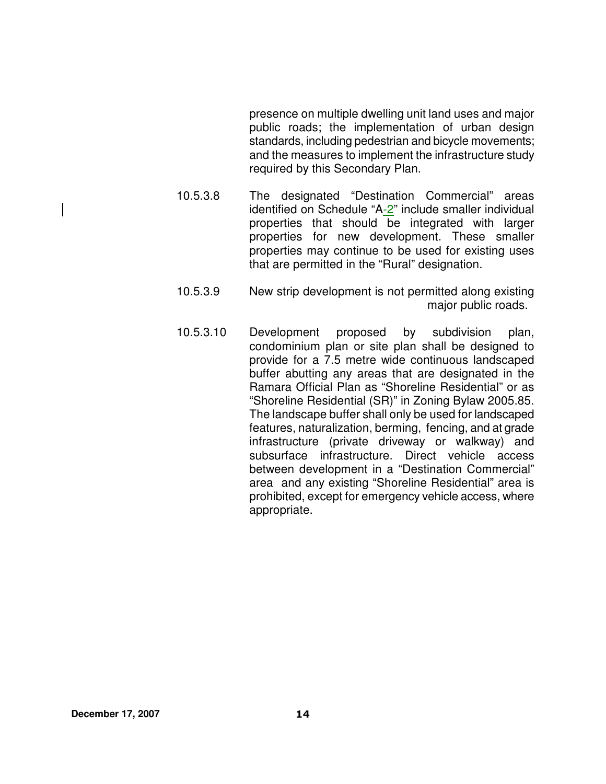presence on multiple dwelling unit land uses and major public roads; the implementation of urban design standards, including pedestrian and bicycle movements; and the measures to implement the infrastructure study required by this Secondary Plan.

- 10.5.3.8 The designated "Destination Commercial" areas identified on Schedule "A-2" include smaller individual properties that should be integrated with larger properties for new development. These smaller properties may continue to be used for existing uses that are permitted in the "Rural" designation.
- 10.5.3.9 New strip development is not permitted along existing major public roads.
- 10.5.3.10 Development proposed by subdivision plan, condominium plan or site plan shall be designed to provide for a 7.5 metre wide continuous landscaped buffer abutting any areas that are designated in the Ramara Official Plan as "Shoreline Residential" or as "Shoreline Residential (SR)" in Zoning Bylaw 2005.85. The landscape buffer shall only be used for landscaped features, naturalization, berming, fencing, and at grade infrastructure (private driveway or walkway) and subsurface infrastructure. Direct vehicle access between development in a "Destination Commercial" area and any existing "Shoreline Residential" area is prohibited, except for emergency vehicle access, where appropriate.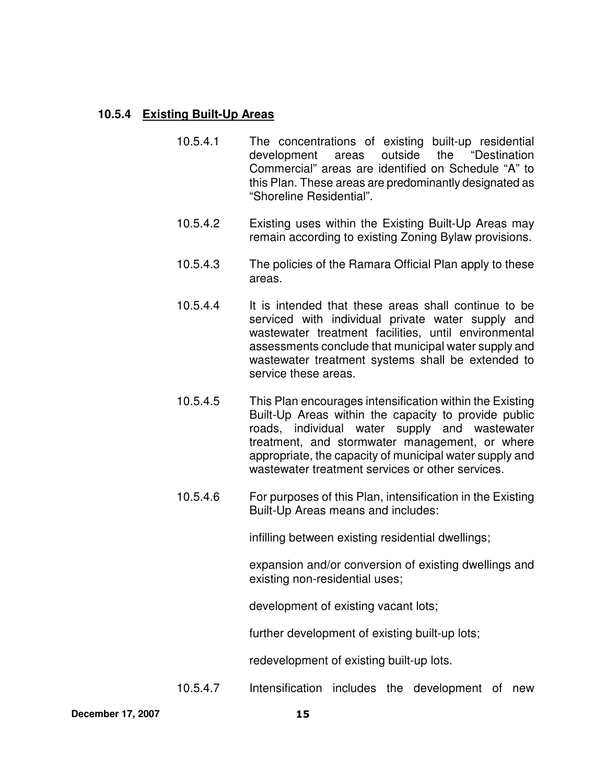## **10.5.4 Existing Built-Up Areas**

- 10.5.4.1 The concentrations of existing built-up residential development areas outside the "Destination Commercial" areas are identified on Schedule "A" to this Plan. These areas are predominantly designated as "Shoreline Residential".
- 10.5.4.2 Existing uses within the Existing Built-Up Areas may remain according to existing Zoning Bylaw provisions.
- 10.5.4.3 The policies of the Ramara Official Plan apply to these areas.
- 10.5.4.4 It is intended that these areas shall continue to be serviced with individual private water supply and wastewater treatment facilities, until environmental assessments conclude that municipal water supply and wastewater treatment systems shall be extended to service these areas.
- 10.5.4.5 This Plan encourages intensification within the Existing Built-Up Areas within the capacity to provide public roads, individual water supply and wastewater treatment, and stormwater management, or where appropriate, the capacity of municipal water supply and wastewater treatment services or other services.
- 10.5.4.6 For purposes of this Plan, intensification in the Existing Built-Up Areas means and includes:

infilling between existing residential dwellings;

expansion and/or conversion of existing dwellings and existing non-residential uses;

development of existing vacant lots;

further development of existing built-up lots;

redevelopment of existing built-up lots.

10.5.4.7 Intensification includes the development of new

**December 17, 2007** 15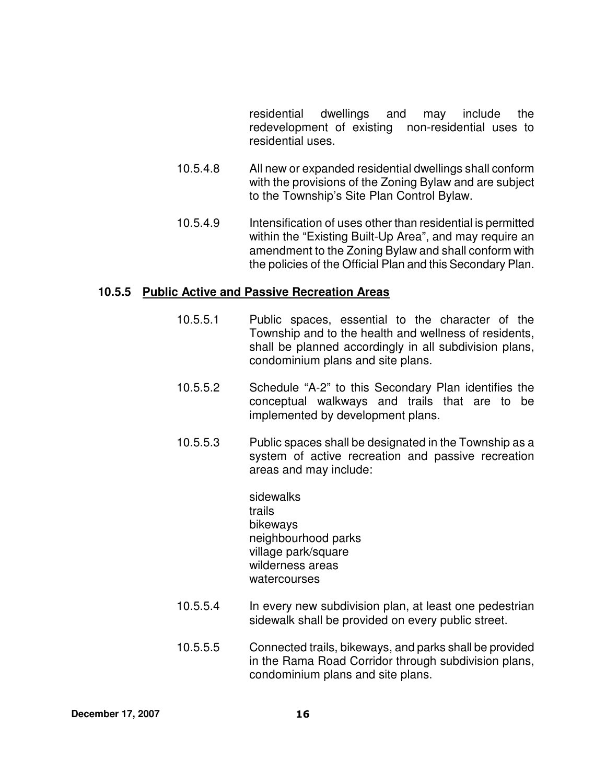residential dwellings and may include the redevelopment of existing non-residential uses to residential uses.

- 10.5.4.8 All new or expanded residential dwellings shall conform with the provisions of the Zoning Bylaw and are subject to the Township's Site Plan Control Bylaw.
- 10.5.4.9 Intensification of uses other than residential is permitted within the "Existing Built-Up Area", and may require an amendment to the Zoning Bylaw and shall conform with the policies of the Official Plan and this Secondary Plan.

#### **10.5.5 Public Active and Passive Recreation Areas**

- 10.5.5.1 Public spaces, essential to the character of the Township and to the health and wellness of residents, shall be planned accordingly in all subdivision plans, condominium plans and site plans.
- 10.5.5.2 Schedule "A-2" to this Secondary Plan identifies the conceptual walkways and trails that are to be implemented by development plans.
- 10.5.5.3 Public spaces shall be designated in the Township as a system of active recreation and passive recreation areas and may include:

sidewalks trails bikeways neighbourhood parks village park/square wilderness areas watercourses

- 10.5.5.4 In every new subdivision plan, at least one pedestrian sidewalk shall be provided on every public street.
- 10.5.5.5 Connected trails, bikeways, and parks shall be provided in the Rama Road Corridor through subdivision plans, condominium plans and site plans.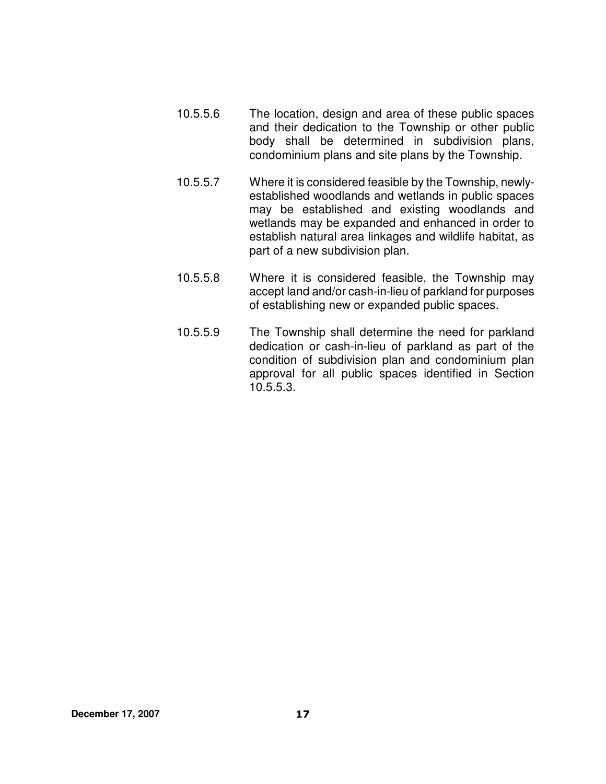- 10.5.5.6 The location, design and area of these public spaces and their dedication to the Township or other public body shall be determined in subdivision plans, condominium plans and site plans by the Township.
- 10.5.5.7 Where it is considered feasible by the Township, newlyestablished woodlands and wetlands in public spaces may be established and existing woodlands and wetlands may be expanded and enhanced in order to establish natural area linkages and wildlife habitat, as part of a new subdivision plan.
- 10.5.5.8 Where it is considered feasible, the Township may accept land and/or cash-in-lieu of parkland for purposes of establishing new or expanded public spaces.
- 10.5.5.9 The Township shall determine the need for parkland dedication or cash-in-lieu of parkland as part of the condition of subdivision plan and condominium plan approval for all public spaces identified in Section 10.5.5.3.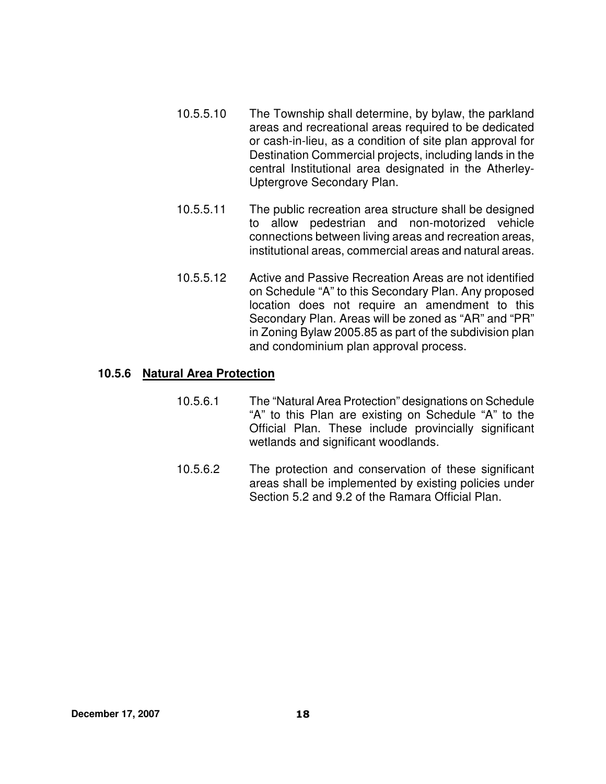- 10.5.5.10 The Township shall determine, by bylaw, the parkland areas and recreational areas required to be dedicated or cash-in-lieu, as a condition of site plan approval for Destination Commercial projects, including lands in the central Institutional area designated in the Atherley-Uptergrove Secondary Plan.
- 10.5.5.11 The public recreation area structure shall be designed to allow pedestrian and non-motorized vehicle connections between living areas and recreation areas, institutional areas, commercial areas and natural areas.
- 10.5.5.12 Active and Passive Recreation Areas are not identified on Schedule "A" to this Secondary Plan. Any proposed location does not require an amendment to this Secondary Plan. Areas will be zoned as "AR" and "PR" in Zoning Bylaw 2005.85 as part of the subdivision plan and condominium plan approval process.

#### **10.5.6 Natural Area Protection**

- 10.5.6.1 The "Natural Area Protection" designations on Schedule "A" to this Plan are existing on Schedule "A" to the Official Plan. These include provincially significant wetlands and significant woodlands.
- 10.5.6.2 The protection and conservation of these significant areas shall be implemented by existing policies under Section 5.2 and 9.2 of the Ramara Official Plan.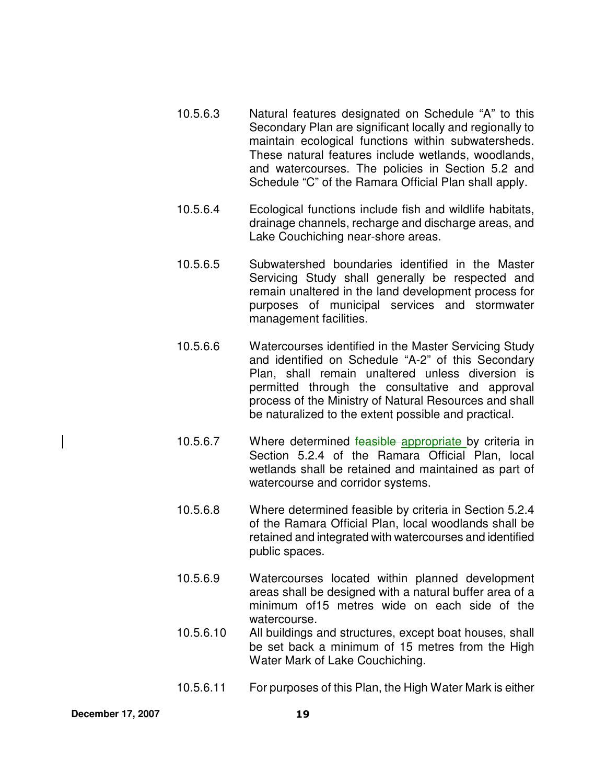- 10.5.6.3 Natural features designated on Schedule "A" to this Secondary Plan are significant locally and regionally to maintain ecological functions within subwatersheds. These natural features include wetlands, woodlands, and watercourses. The policies in Section 5.2 and Schedule "C" of the Ramara Official Plan shall apply.
- 10.5.6.4 Ecological functions include fish and wildlife habitats, drainage channels, recharge and discharge areas, and Lake Couchiching near-shore areas.
- 10.5.6.5 Subwatershed boundaries identified in the Master Servicing Study shall generally be respected and remain unaltered in the land development process for purposes of municipal services and stormwater management facilities.
- 10.5.6.6 Watercourses identified in the Master Servicing Study and identified on Schedule "A-2" of this Secondary Plan, shall remain unaltered unless diversion is permitted through the consultative and approval process of the Ministry of Natural Resources and shall be naturalized to the extent possible and practical.
- 10.5.6.7 Where determined feasible appropriate by criteria in Section 5.2.4 of the Ramara Official Plan, local wetlands shall be retained and maintained as part of watercourse and corridor systems.
- 10.5.6.8 Where determined feasible by criteria in Section 5.2.4 of the Ramara Official Plan, local woodlands shall be retained and integrated with watercourses and identified public spaces.
- 10.5.6.9 Watercourses located within planned development areas shall be designed with a natural buffer area of a minimum of15 metres wide on each side of the watercourse.
- 10.5.6.10 All buildings and structures, except boat houses, shall be set back a minimum of 15 metres from the High Water Mark of Lake Couchiching.
- 10.5.6.11 For purposes of this Plan, the High Water Mark is either

**December 17, 2007** 19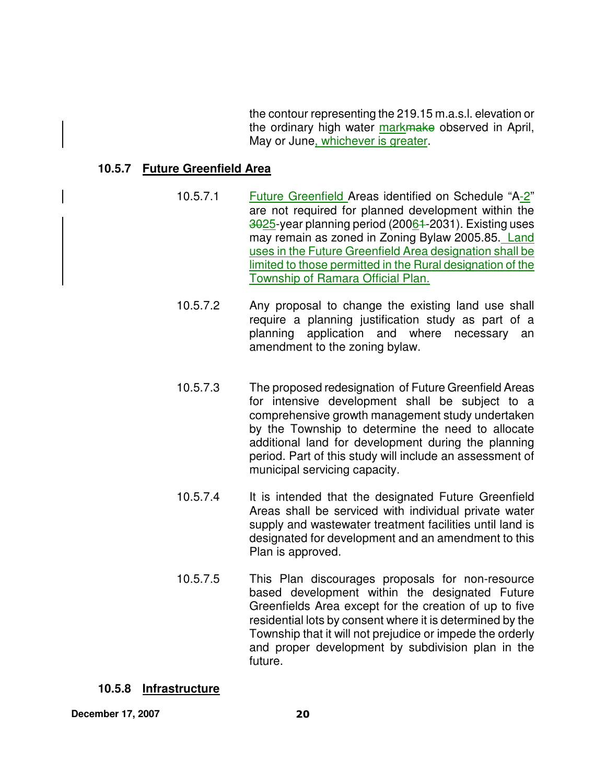the contour representing the 219.15 m.a.s.l. elevation or the ordinary high water markmake observed in April, May or June, whichever is greater.

#### **10.5.7 Future Greenfield Area**

- 10.5.7.1 Future Greenfield Areas identified on Schedule "A-2" are not required for planned development within the 3025-year planning period (20061-2031). Existing uses may remain as zoned in Zoning Bylaw 2005.85. Land uses in the Future Greenfield Area designation shall be limited to those permitted in the Rural designation of the Township of Ramara Official Plan.
- 10.5.7.2 Any proposal to change the existing land use shall require a planning justification study as part of a planning application and where necessary an amendment to the zoning bylaw.
- 10.5.7.3 The proposed redesignation of Future Greenfield Areas for intensive development shall be subject to a comprehensive growth management study undertaken by the Township to determine the need to allocate additional land for development during the planning period. Part of this study will include an assessment of municipal servicing capacity.
- 10.5.7.4 It is intended that the designated Future Greenfield Areas shall be serviced with individual private water supply and wastewater treatment facilities until land is designated for development and an amendment to this Plan is approved.
- 10.5.7.5 This Plan discourages proposals for non-resource based development within the designated Future Greenfields Area except for the creation of up to five residential lots by consent where it is determined by the Township that it will not prejudice or impede the orderly and proper development by subdivision plan in the future.

## **10.5.8 Infrastructure**

**December 17, 2007** 20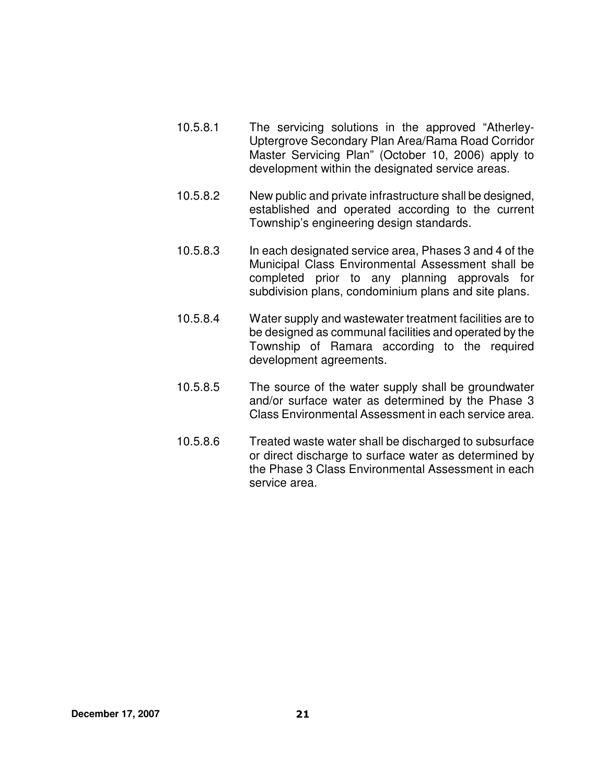- 10.5.8.1 The servicing solutions in the approved "Atherley-Uptergrove Secondary Plan Area/Rama Road Corridor Master Servicing Plan" (October 10, 2006) apply to development within the designated service areas.
- 10.5.8.2 New public and private infrastructure shall be designed, established and operated according to the current Township's engineering design standards.
- 10.5.8.3 In each designated service area, Phases 3 and 4 of the Municipal Class Environmental Assessment shall be completed prior to any planning approvals for subdivision plans, condominium plans and site plans.
- 10.5.8.4 Water supply and wastewater treatment facilities are to be designed as communal facilities and operated by the Township of Ramara according to the required development agreements.
- 10.5.8.5 The source of the water supply shall be groundwater and/or surface water as determined by the Phase 3 Class Environmental Assessment in each service area.
- 10.5.8.6 Treated waste water shall be discharged to subsurface or direct discharge to surface water as determined by the Phase 3 Class Environmental Assessment in each service area.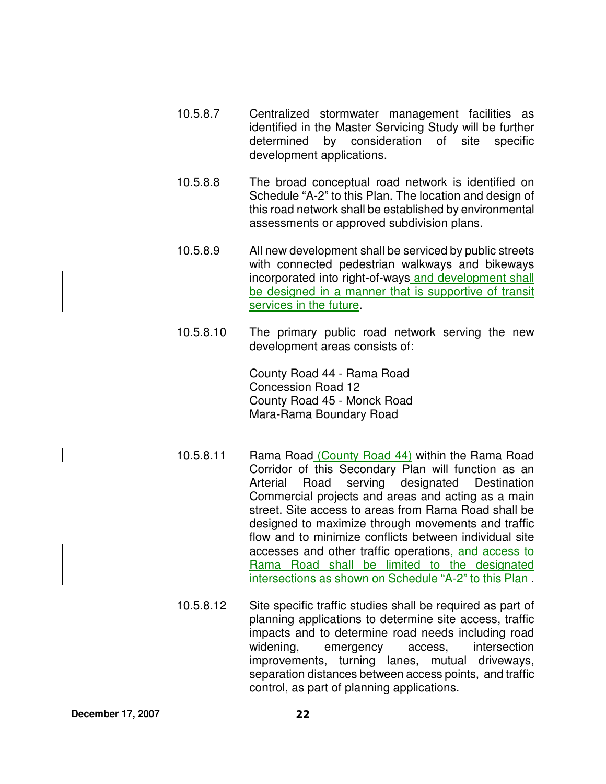- 10.5.8.7 Centralized stormwater management facilities as identified in the Master Servicing Study will be further determined by consideration of site specific development applications.
- 10.5.8.8 The broad conceptual road network is identified on Schedule "A-2" to this Plan. The location and design of this road network shall be established by environmental assessments or approved subdivision plans.
- 10.5.8.9 All new development shall be serviced by public streets with connected pedestrian walkways and bikeways incorporated into right-of-ways and development shall be designed in a manner that is supportive of transit services in the future.
- 10.5.8.10 The primary public road network serving the new development areas consists of:

County Road 44 - Rama Road Concession Road 12 County Road 45 - Monck Road Mara-Rama Boundary Road

- 10.5.8.11 Rama Road (County Road 44) within the Rama Road Corridor of this Secondary Plan will function as an Arterial Road serving designated Destination Commercial projects and areas and acting as a main street. Site access to areas from Rama Road shall be designed to maximize through movements and traffic flow and to minimize conflicts between individual site accesses and other traffic operations, and access to Rama Road shall be limited to the designated intersections as shown on Schedule "A-2" to this Plan .
- 10.5.8.12 Site specific traffic studies shall be required as part of planning applications to determine site access, traffic impacts and to determine road needs including road widening, emergency access, intersection improvements, turning lanes, mutual driveways, separation distances between access points, and traffic control, as part of planning applications.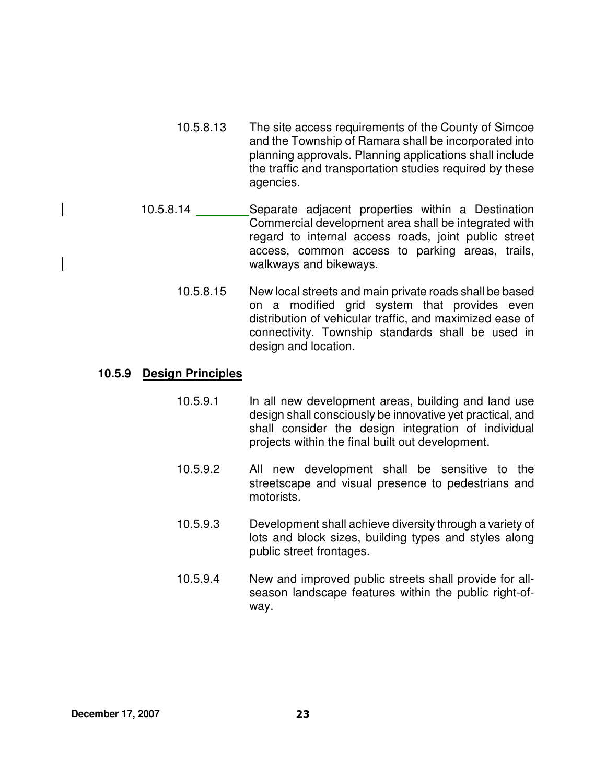- 10.5.8.13 The site access requirements of the County of Simcoe and the Township of Ramara shall be incorporated into planning approvals. Planning applications shall include the traffic and transportation studies required by these agencies.
- 10.5.8.14 Separate adjacent properties within a Destination Commercial development area shall be integrated with regard to internal access roads, joint public street access, common access to parking areas, trails, walkways and bikeways.
	- 10.5.8.15 New local streets and main private roads shall be based on a modified grid system that provides even distribution of vehicular traffic, and maximized ease of connectivity. Township standards shall be used in design and location.

#### **10.5.9 Design Principles**

- 10.5.9.1 In all new development areas, building and land use design shall consciously be innovative yet practical, and shall consider the design integration of individual projects within the final built out development.
- 10.5.9.2 All new development shall be sensitive to the streetscape and visual presence to pedestrians and motorists.
- 10.5.9.3 Development shall achieve diversity through a variety of lots and block sizes, building types and styles along public street frontages.
- 10.5.9.4 New and improved public streets shall provide for allseason landscape features within the public right-ofway.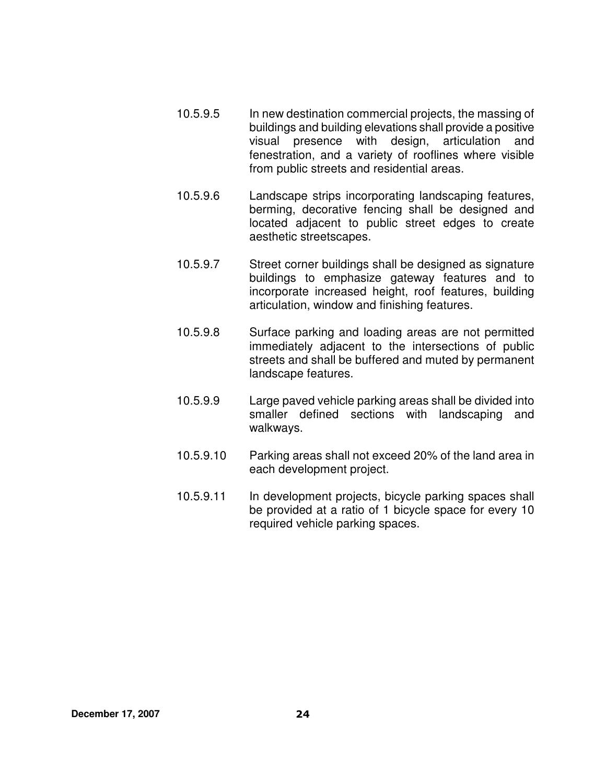- 10.5.9.5 In new destination commercial projects, the massing of buildings and building elevations shall provide a positive visual presence with design, articulation and fenestration, and a variety of rooflines where visible from public streets and residential areas.
- 10.5.9.6 Landscape strips incorporating landscaping features, berming, decorative fencing shall be designed and located adjacent to public street edges to create aesthetic streetscapes.
- 10.5.9.7 Street corner buildings shall be designed as signature buildings to emphasize gateway features and to incorporate increased height, roof features, building articulation, window and finishing features.
- 10.5.9.8 Surface parking and loading areas are not permitted immediately adjacent to the intersections of public streets and shall be buffered and muted by permanent landscape features.
- 10.5.9.9 Large paved vehicle parking areas shall be divided into smaller defined sections with landscaping and walkways.
- 10.5.9.10 Parking areas shall not exceed 20% of the land area in each development project.
- 10.5.9.11 In development projects, bicycle parking spaces shall be provided at a ratio of 1 bicycle space for every 10 required vehicle parking spaces.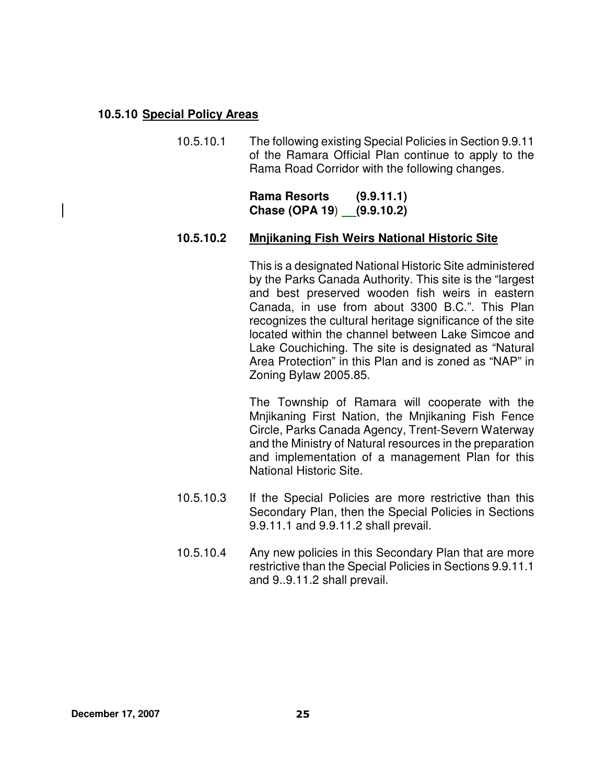## **10.5.10 Special Policy Areas**

10.5.10.1 The following existing Special Policies in Section 9.9.11 of the Ramara Official Plan continue to apply to the Rama Road Corridor with the following changes.

> **Rama Resorts (9.9.11.1) Chase (OPA 19**) **(9.9.10.2)**

#### **10.5.10.2 Mnjikaning Fish Weirs National Historic Site**

This is a designated National Historic Site administered by the Parks Canada Authority. This site is the "largest and best preserved wooden fish weirs in eastern Canada, in use from about 3300 B.C.". This Plan recognizes the cultural heritage significance of the site located within the channel between Lake Simcoe and Lake Couchiching. The site is designated as "Natural Area Protection" in this Plan and is zoned as "NAP" in Zoning Bylaw 2005.85.

The Township of Ramara will cooperate with the Mnjikaning First Nation, the Mnjikaning Fish Fence Circle, Parks Canada Agency, Trent-Severn Waterway and the Ministry of Natural resources in the preparation and implementation of a management Plan for this National Historic Site.

- 10.5.10.3 If the Special Policies are more restrictive than this Secondary Plan, then the Special Policies in Sections 9.9.11.1 and 9.9.11.2 shall prevail.
- 10.5.10.4 Any new policies in this Secondary Plan that are more restrictive than the Special Policies in Sections 9.9.11.1 and 9..9.11.2 shall prevail.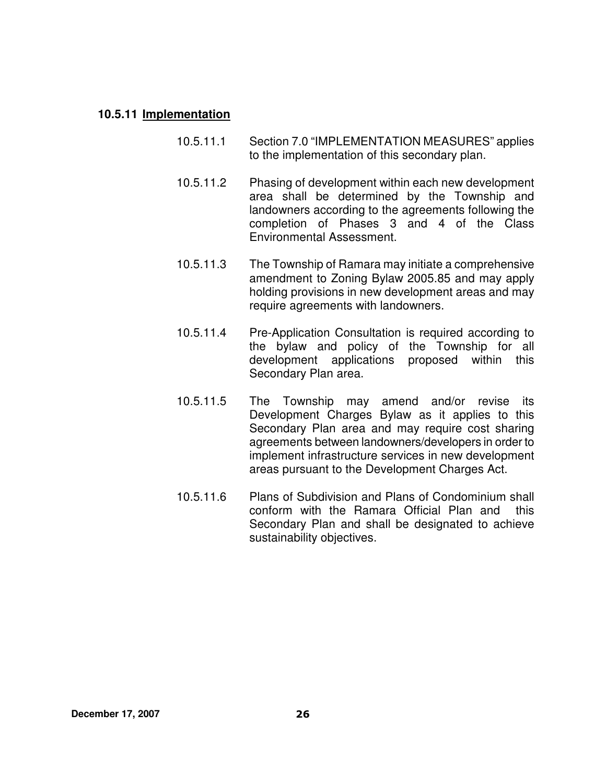#### **10.5.11 Implementation**

- 10.5.11.1 Section 7.0 "IMPLEMENTATION MEASURES" applies to the implementation of this secondary plan.
- 10.5.11.2 Phasing of development within each new development area shall be determined by the Township and landowners according to the agreements following the completion of Phases 3 and 4 of the Class Environmental Assessment.
- 10.5.11.3 The Township of Ramara may initiate a comprehensive amendment to Zoning Bylaw 2005.85 and may apply holding provisions in new development areas and may require agreements with landowners.
- 10.5.11.4 Pre-Application Consultation is required according to the bylaw and policy of the Township for all development applications proposed within this Secondary Plan area.
- 10.5.11.5 The Township may amend and/or revise its Development Charges Bylaw as it applies to this Secondary Plan area and may require cost sharing agreements between landowners/developers in order to implement infrastructure services in new development areas pursuant to the Development Charges Act.
- 10.5.11.6 Plans of Subdivision and Plans of Condominium shall conform with the Ramara Official Plan and this Secondary Plan and shall be designated to achieve sustainability objectives.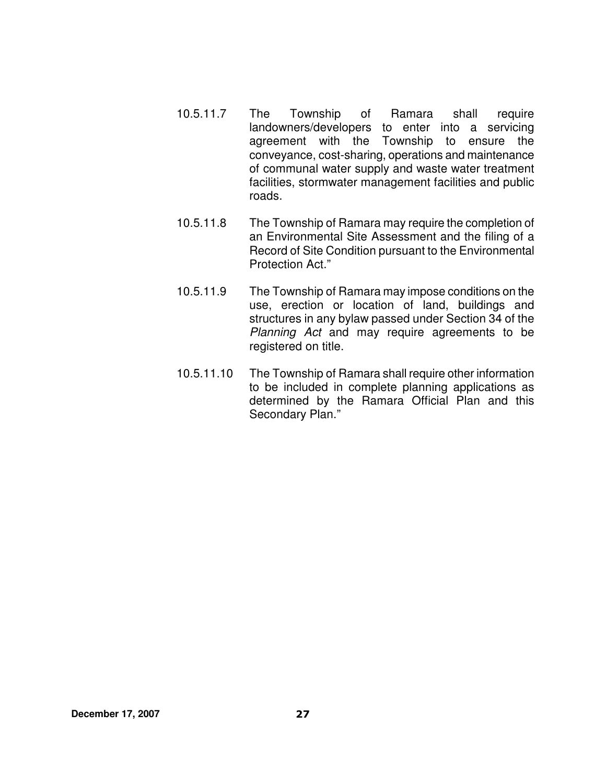- 10.5.11.7 The Township of Ramara shall require landowners/developers to enter into a servicing agreement with the Township to ensure the conveyance, cost-sharing, operations and maintenance of communal water supply and waste water treatment facilities, stormwater management facilities and public roads.
- 10.5.11.8 The Township of Ramara may require the completion of an Environmental Site Assessment and the filing of a Record of Site Condition pursuant to the Environmental Protection Act."
- 10.5.11.9 The Township of Ramara may impose conditions on the use, erection or location of land, buildings and structures in any bylaw passed under Section 34 of the Planning Act and may require agreements to be registered on title.
- 10.5.11.10 The Township of Ramara shall require other information to be included in complete planning applications as determined by the Ramara Official Plan and this Secondary Plan."